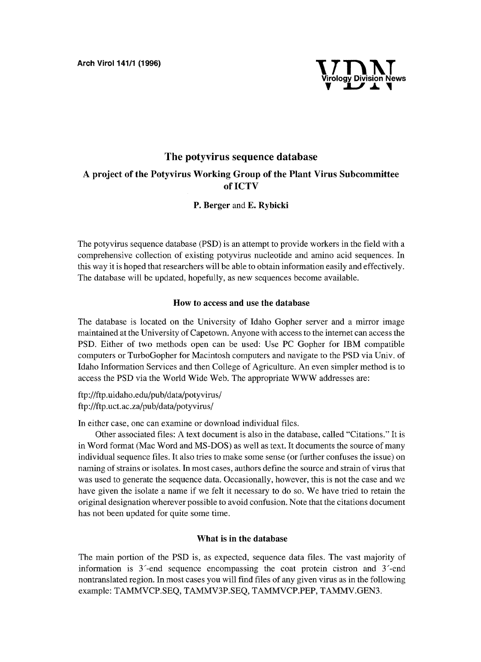

# **The potyvirus sequence database A project of the Potyvirus Working Group of the Plant Virus Subcommittee of** ICTV

#### **P. Berger and E. Rybicki**

The potyvirus sequence database (PSD) is an attempt to provide workers in the field with a comprehensive collection of existing potyvirus nucleotide and amino acid sequences. In this way it is hoped that researchers will be able to obtain information easily and effectively. The database will be updated, hopefully, as new sequences become available.

#### **How to access and use the database**

The database is located on the University of Idaho Gopher server and a mirror image maintained at the University of Capetown. Anyone with access to the internet can access the PSD: Either of two methods open can be used: Use PC Gopher for IBM compatible computers or TurboGopher for Macintosh computers and navigate to the PSI) via Univ. of Idaho Information Services and then College of Agriculture. An even simpler method is to access the PSD via the World Wide Web. The appropriate WWW addresses are:

```
ftp://ftp.uidaho.edu/pub/data/potyvirus/ 
ftp://ftp.uct.ac.za/pub/data/potyvirus/
```
In either case, one can examine or download individual files.

Other associated files: A text document is also in the database, called "Citations." It is in Word format (Mac Word and MS-DOS) as well as text. It documents the source of many individual sequence files. It also tries to make some sense (or further confuses the issue) on naming of strains or isolates. In most cases, authors define the source and strain of virus that was used to generate the sequence data. Occasionally, however, this is not the case and we have given the isolate a name if we felt it necessary to do so. We have tried to retain the original designation wherever possible to avoid confusion. Note that the citations document has not been updated for quite some time.

#### **What is in the database**

The main portion of the PSD is, as expected, sequence data files. The vast majority of information is  $3^{\degree}$ -end sequence encompassing the coat protein cistron and  $3^{\degree}$ -end nontranslated region. In most cases you will find files of any given virus as in the following example: TAMMVCP.SEQ, TAMMV3P.SEQ, TAMMVCP.PEP, TAMMV.GEN3.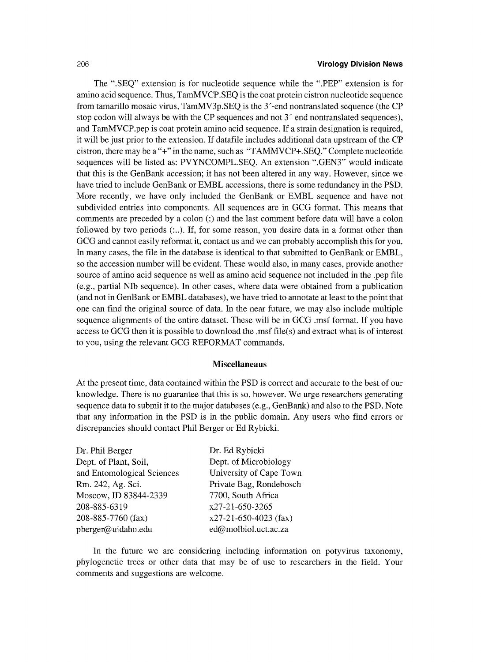The ".SEQ" extension is for nucleotide sequence while the ".PEP" extension is for amino acid sequence. Thus, TamMVCP.SEQ is the coat protein cistron nucleotide sequence from tamarillo mosaic virus, TamMV3p.SEQ is the 3"-end nontranslated sequence (the CP stop codon will always be with the CP sequences and not  $3'$ -end nontranslated sequences), and TamMVCP.pep is coat protein amino acid sequence. If a strain designation is required, it will be just prior to the extension. If datafile includes additional data upstream of the CP cistron, there may be a "+" in the name, such as "TAMMVCP+.SEQ." Complete nucleotide sequences will be listed as: PVYNCOMPL.SEQ. An extension ".GEN3" would indicate that this is the GenBank accession; it has not been altered in any way. However, since we have tried to include GenBank or EMBL accessions, there is some redundancy in the PSD. More recently, we have only included the GenBank or EMBL sequence and have not subdivided entries into components. All sequences are in GCG format. This means that comments are preceded by a colon (:) and the last comment before data will have a colon followed by two periods (:..). If, for some reason, you desire data in a format other than GCG and cannot easily reformat it, contact us and we can probably accomplish this for you. In many cases, the file in the database is identical to that submitted to GenBank or EMBL, so the accession number will be evident. These would also, in many cases, provide another source of amino acid sequence as well as amino acid sequence not included in the .pep file (e.g., partial NIb sequence). In other cases, where data were obtained from a publication (and not in GenBank or EMBL databases), we have tried to annotate at least to the point that one can find the original source of data. In the near future, we may also include multiple sequence alignments of the entire dataset. These will be in GCG .msf format. If you have access to GCG then it is possible to download the .msf file(s) and extract what is of interest to you, using the relevant GCG REFORMAT commands.

#### **Miscellaneaus**

At the present time, data contained within the PSD is correct and accurate to the best of our knowledge. There is no guarantee that this is so, however. We urge researchers generating sequence data to submit it to the major databases (e.g., GenBank) and also to the PSD. Note that any information in the PSD is in the public domain. Any users who find errors or discrepancies should contact Phil Berger or Ed Rybicki.

| Dr. Phil Berger            | Dr. Ed Rybicki          |
|----------------------------|-------------------------|
| Dept. of Plant, Soil,      | Dept. of Microbiology   |
| and Entomological Sciences | University of Cape Town |
| Rm. 242, Ag. Sci.          | Private Bag, Rondebosch |
| Moscow, ID 83844-2339      | 7700, South Africa      |
| 208-885-6319               | x27-21-650-3265         |
| 208-885-7760 (fax)         | $x27-21-650-4023$ (fax) |
| pberger@uidaho.edu         | ed@molbiol.uct.ac.za    |
|                            |                         |

In the future we are considering including information on potyvirus taxonomy, phylogenetic trees or other data that may be of use to researchers in the field. Your comments and suggestions are welcome.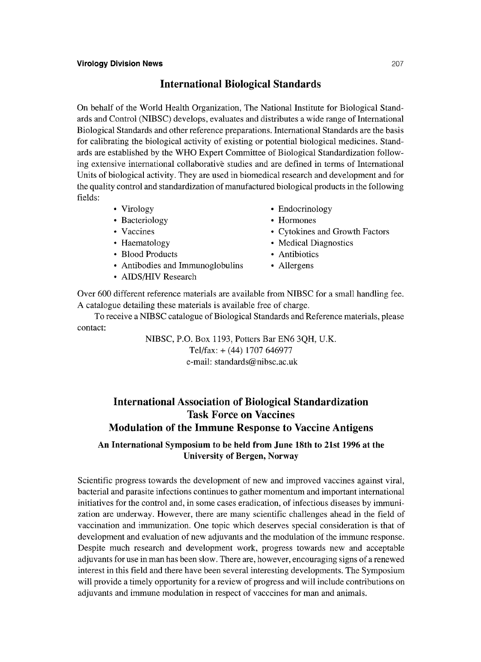#### **Virology Division News** *207*

## **International Biological Standards**

On behalf of the World Health Organization, The National Institute for Biological Standards and Control (NIBSC) develops, evaluates and distributes a wide range of International Biological Standards and other reference preparations. International Standards are the basis for calibrating the biological activity of existing or potential biological medicines. Standards are established by the WHO Expert Committee of Biological Standardization following extensive international collaborative studies and are defined in terms of International Units of biological activity. They are used in biomedical research and development and for the quality control and standardization of manufactured biological products in the following fields:

- Virology
- Bacteriology
- Vaccines
- Haematology
- Blood Products
- Antibodies and Immunoglobulins
- AIDS/HIV Research
- Endocrinology
- Hormones
- Cytokines and Growth Factors
- Medical Diagnostics
- Antibiotics
- Allergens

Over 600 different reference materials are available from NIBSC for a small handling fee. A catalogue detailing these materials is available free of charge.

To receive a NIBSC catalogue of Biological Standards and Reference materials, please contact:

> NIBSC, P.O. Box 1193, Potters Bar EN6 3QH, U.K. Tel/fax: + (44) 1707 646977 e-mall: standards@ nibsc.ac.uk

# **International Association of Biological Standardization Task Force on Vaccines Modulation of the Immune Response to Vaccine Antigens**

## **An International Symposium to be held from June 18th to 21st 1996 at the University of Bergen, Norway**

Scientific progress towards the development of new and improved vaccines against viral, bacterial and parasite infections continues to gather momentum and important international initiatives for the control and, in some cases eradication, of infectious diseases by immunization are underway. However, there are many scientific challenges ahead in the field of vaccination and immunization. One topic which deserves special consideration is that of development and evaluation of new adjuvants and the modulation of the immune response. Despite much research and development work, progress towards new and acceptable adjuvants for use in man has been slow. There are, however, encouraging signs of a renewed interest in this field and there have been several interesting developments. The Symposium will provide a timely opportunity for a review of progress and will include contributions on adjuvants and immune modulation in respect of vacccines for man and animals.